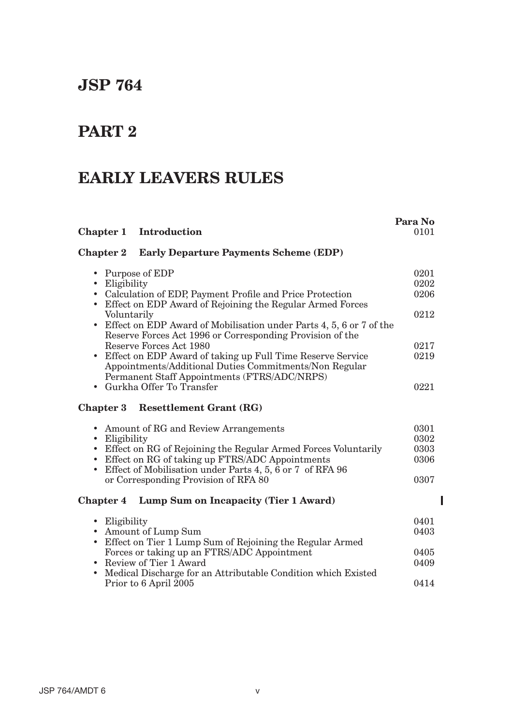# **JSP 764**

# **PART 2**

# **EARLY LEAVERS RULES**

| <b>Chapter 1</b>                                                                            | Introduction                                                                                                                                                                                                                                                                                                                                                                                                                                                                                               | Para No<br>0101                                      |
|---------------------------------------------------------------------------------------------|------------------------------------------------------------------------------------------------------------------------------------------------------------------------------------------------------------------------------------------------------------------------------------------------------------------------------------------------------------------------------------------------------------------------------------------------------------------------------------------------------------|------------------------------------------------------|
| <b>Chapter 2</b>                                                                            | <b>Early Departure Payments Scheme (EDP)</b>                                                                                                                                                                                                                                                                                                                                                                                                                                                               |                                                      |
| Eligibility<br>$\bullet$<br>$\bullet$<br>$\bullet$<br>Voluntarily<br>$\bullet$<br>$\bullet$ | Purpose of EDP<br>Calculation of EDP, Payment Profile and Price Protection<br>Effect on EDP Award of Rejoining the Regular Armed Forces<br>Effect on EDP Award of Mobilisation under Parts 4, 5, 6 or 7 of the<br>Reserve Forces Act 1996 or Corresponding Provision of the<br>Reserve Forces Act 1980<br>Effect on EDP Award of taking up Full Time Reserve Service<br>Appointments/Additional Duties Commitments/Non Regular<br>Permanent Staff Appointments (FTRS/ADC/NRPS)<br>Gurkha Offer To Transfer | 0201<br>0202<br>0206<br>0212<br>0217<br>0219<br>0221 |
| <b>Chapter 3</b>                                                                            | <b>Resettlement Grant (RG)</b>                                                                                                                                                                                                                                                                                                                                                                                                                                                                             |                                                      |
| Eligibility<br>$\bullet$<br>$\bullet$<br>$\bullet$<br>$\bullet$                             | Amount of RG and Review Arrangements<br>Effect on RG of Rejoining the Regular Armed Forces Voluntarily<br>Effect on RG of taking up FTRS/ADC Appointments<br>Effect of Mobilisation under Parts 4, 5, 6 or 7 of RFA 96<br>or Corresponding Provision of RFA 80                                                                                                                                                                                                                                             | 0301<br>0302<br>0303<br>0306<br>0307                 |
| <b>Chapter 4</b>                                                                            | Lump Sum on Incapacity (Tier 1 Award)                                                                                                                                                                                                                                                                                                                                                                                                                                                                      |                                                      |
| Eligibility<br>$\bullet$<br>$\bullet$                                                       | Amount of Lump Sum<br>Effect on Tier 1 Lump Sum of Rejoining the Regular Armed                                                                                                                                                                                                                                                                                                                                                                                                                             | 0401<br>0403                                         |
| $\bullet$                                                                                   | Forces or taking up an FTRS/ADC Appointment<br>Review of Tier 1 Award<br>Medical Discharge for an Attributable Condition which Existed                                                                                                                                                                                                                                                                                                                                                                     | 0405<br>0409                                         |
|                                                                                             | Prior to 6 April 2005                                                                                                                                                                                                                                                                                                                                                                                                                                                                                      | 0414                                                 |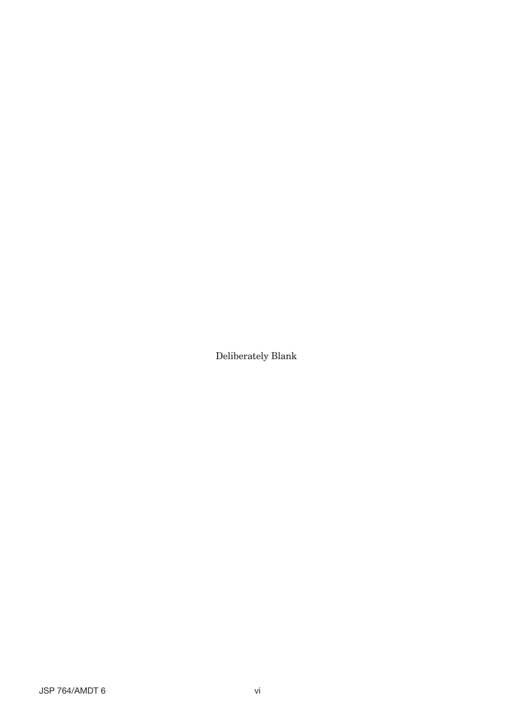Deliberately Blank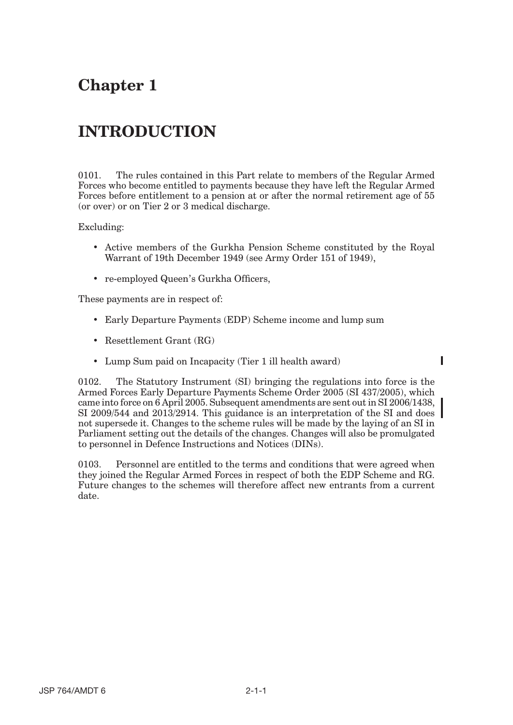## **INTRODUCTION**

0101. The rules contained in this Part relate to members of the Regular Armed Forces who become entitled to payments because they have left the Regular Armed Forces before entitlement to a pension at or after the normal retirement age of 55 (or over) or on Tier 2 or 3 medical discharge.

Excluding:

- • Active members of the Gurkha Pension Scheme constituted by the Royal Warrant of 19th December 1949 (see Army Order 151 of 1949),
- • re-employed Queen's Gurkha Officers,

These payments are in respect of:

- • Early Departure Payments (EDP) Scheme income and lump sum
- Resettlement Grant (RG)
- Lump Sum paid on Incapacity (Tier 1 ill health award)

0102. The Statutory Instrument (SI) bringing the regulations into force is the Armed Forces Early Departure Payments Scheme Order 2005 (SI 437/2005), which came into force on 6 April 2005. Subsequent amendments are sent out in SI 2006/1438, SI 2009/544 and 2013/2914. This guidance is an interpretation of the SI and does not supersede it. Changes to the scheme rules will be made by the laying of an SI in Parliament setting out the details of the changes. Changes will also be promulgated to personnel in Defence Instructions and Notices (DINs).

ı

0103. Personnel are entitled to the terms and conditions that were agreed when they joined the Regular Armed Forces in respect of both the EDP Scheme and RG. Future changes to the schemes will therefore affect new entrants from a current date.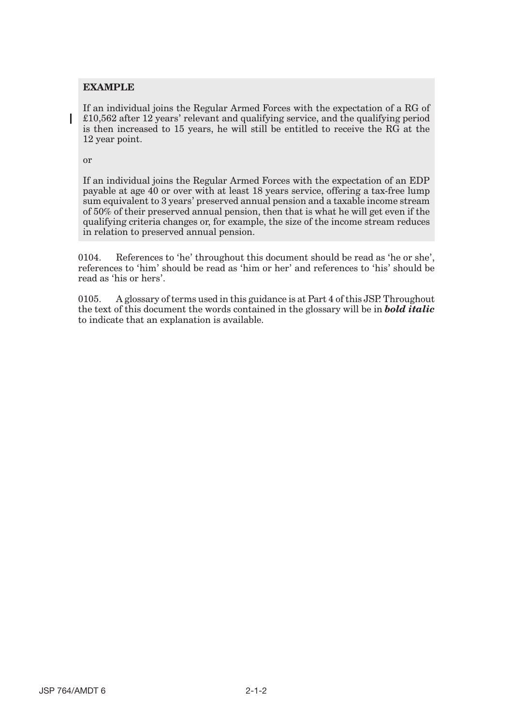## **EXAMPLE**

If an individual joins the Regular Armed Forces with the expectation of a RG of £10,562 after 12 years' relevant and qualifying service, and the qualifying period is then increased to 15 years, he will still be entitled to receive the RG at the 12 year point.

or

If an individual joins the Regular Armed Forces with the expectation of an EDP payable at age 40 or over with at least 18 years service, offering a tax-free lump sum equivalent to 3 years' preserved annual pension and a taxable income stream of 50% of their preserved annual pension, then that is what he will get even if the qualifying criteria changes or, for example, the size of the income stream reduces in relation to preserved annual pension.

0104. References to 'he' throughout this document should be read as 'he or she', references to 'him' should be read as 'him or her' and references to 'his' should be read as 'his or hers'.

0105. A glossary of terms used in this guidance is at Part 4 of this JSP. Throughout the text of this document the words contained in the glossary will be in *bold italic*  to indicate that an explanation is available.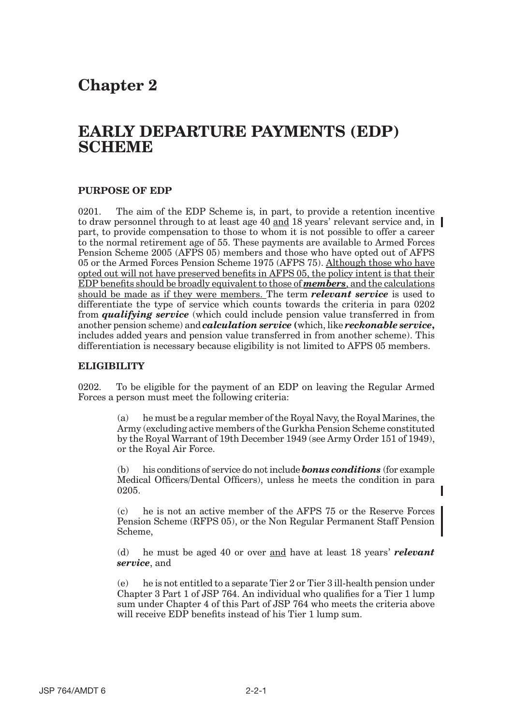## **EARLY DEPARTURE PAYMENTS (EDP) SCHEME**

## **PURPOSE OF EDP**

0201. The aim of the EDP Scheme is, in part, to provide a retention incentive to draw personnel through to at least age 40 and 18 years' relevant service and, in part, to provide compensation to those to whom it is not possible to offer a career to the normal retirement age of 55. These payments are available to Armed Forces Pension Scheme 2005 (AFPS 05) members and those who have opted out of AFPS 05 or the Armed Forces Pension Scheme 1975 (AFPS 75). Although those who have opted out will not have preserved benefits in AFPS 05, the policy intent is that their EDP benefits should be broadly equivalent to those of *members*, and the calculations should be made as if they were members. The term *relevant service* is used to differentiate the type of service which counts towards the criteria in para 0202 from *qualifying service* (which could include pension value transferred in from another pension scheme) and *calculation service* **(**which, like *reckonable service***,**  includes added years and pension value transferred in from another scheme). This differentiation is necessary because eligibility is not limited to AFPS 05 members.

#### **ELIGIBILITY**

0202. To be eligible for the payment of an EDP on leaving the Regular Armed Forces a person must meet the following criteria:

> (a) he must be a regular member of the Royal Navy, the Royal Marines, the Army (excluding active members of the Gurkha Pension Scheme constituted by the Royal Warrant of 19th December 1949 (see Army Order 151 of 1949), or the Royal Air Force.

> (b) his conditions of service do not include *bonus conditions* (for example Medical Officers/Dental Officers), unless he meets the condition in para 0205.

> (c) he is not an active member of the AFPS 75 or the Reserve Forces Pension Scheme (RFPS 05), or the Non Regular Permanent Staff Pension Scheme,

> (d) he must be aged 40 or over and have at least 18 years' *relevant service*, and

> (e) he is not entitled to a separate Tier 2 or Tier 3 ill-health pension under Chapter 3 Part 1 of JSP 764. An individual who qualifies for a Tier 1 lump sum under Chapter 4 of this Part of JSP 764 who meets the criteria above will receive EDP benefits instead of his Tier 1 lump sum.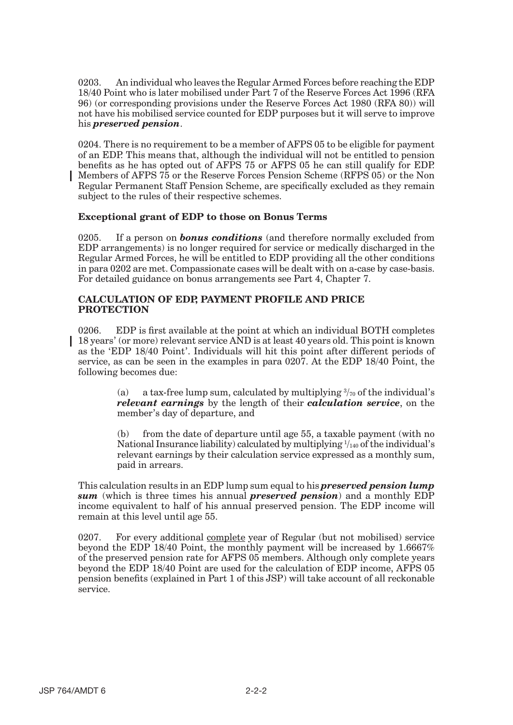0203. An individual who leaves the Regular Armed Forces before reaching the EDP 18/40 Point who is later mobilised under Part 7 of the Reserve Forces Act 1996 (RFA 96) (or corresponding provisions under the Reserve Forces Act 1980 (RFA 80)) will not have his mobilised service counted for EDP purposes but it will serve to improve his *preserved pension*.

0204. There is no requirement to be a member of AFPS 05 to be eligible for payment of an EDP. This means that, although the individual will not be entitled to pension benefits as he has opted out of AFPS 75 or AFPS 05 he can still qualify for EDP. Members of AFPS 75 or the Reserve Forces Pension Scheme (RFPS 05) or the Non Regular Permanent Staff Pension Scheme, are specifically excluded as they remain subject to the rules of their respective schemes.

## **Exceptional grant of EDP to those on Bonus Terms**

0205. If a person on *bonus conditions* (and therefore normally excluded from EDP arrangements) is no longer required for service or medically discharged in the Regular Armed Forces, he will be entitled to EDP providing all the other conditions in para 0202 are met. Compassionate cases will be dealt with on a-case by case-basis. For detailed guidance on bonus arrangements see Part 4, Chapter 7.

## **CALCULATION OF EDP, PAYMENT PROFILE AND PRICE PROTECTION**

0206. EDP is first available at the point at which an individual BOTH completes 18 years' (or more) relevant service AND is at least 40 years old. This point is known as the 'EDP 18/40 Point'. Individuals will hit this point after different periods of service, as can be seen in the examples in para 0207. At the EDP 18/40 Point, the following becomes due:

> (a) a tax-free lump sum, calculated by multiplying  $\frac{3}{70}$  of the individual's *relevant earnings* by the length of their *calculation service*, on the member's day of departure, and

> (b) from the date of departure until age 55, a taxable payment (with no National Insurance liability) calculated by multiplying  $\frac{1}{140}$  of the individual's relevant earnings by their calculation service expressed as a monthly sum, paid in arrears.

This calculation results in an EDP lump sum equal to his *preserved pension lump sum* (which is three times his annual *preserved pension*) and a monthly EDP income equivalent to half of his annual preserved pension. The EDP income will remain at this level until age 55.

0207. For every additional complete year of Regular (but not mobilised) service beyond the EDP 18/40 Point, the monthly payment will be increased by 1.6667% of the preserved pension rate for AFPS 05 members. Although only complete years beyond the EDP 18/40 Point are used for the calculation of EDP income, AFPS 05 pension benefits (explained in Part 1 of this JSP) will take account of all reckonable service.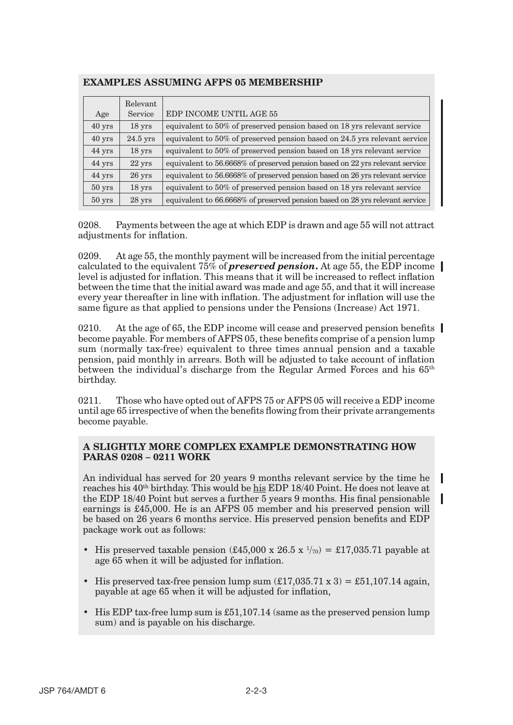|                   | Relevant            |                                                                              |
|-------------------|---------------------|------------------------------------------------------------------------------|
| Age               | Service             | EDP INCOME UNTIL AGE 55                                                      |
| $40$ yrs          | $18 \,\mathrm{yrs}$ | equivalent to 50% of preserved pension based on 18 yrs relevant service      |
| $40 \text{ yrs}$  | $24.5$ yrs          | equivalent to 50% of preserved pension based on 24.5 yrs relevant service    |
| 44 yrs            | $18 \,\mathrm{yrs}$ | equivalent to 50% of preserved pension based on 18 yrs relevant service      |
| 44 yrs            | 22 yrs              | equivalent to 56.6668% of preserved pension based on 22 yrs relevant service |
| 44 yrs            | 26 yrs              | equivalent to 56.6668% of preserved pension based on 26 yrs relevant service |
| 50 <sub>yrs</sub> | 18 yrs              | equivalent to 50% of preserved pension based on 18 yrs relevant service      |
| 50 <sub>yrs</sub> | 28 yrs              | equivalent to 66.6668% of preserved pension based on 28 yrs relevant service |

## **EXAMPLES ASSUMING AFPS 05 MEMBERSHIP**

0208. Payments between the age at which EDP is drawn and age 55 will not attract adjustments for inflation.

0209. At age 55, the monthly payment will be increased from the initial percentage calculated to the equivalent 75% of *preserved pension***.** At age 55, the EDP income level is adjusted for inflation. This means that it will be increased to reflect inflation between the time that the initial award was made and age 55, and that it will increase every year thereafter in line with inflation. The adjustment for inflation will use the same figure as that applied to pensions under the Pensions (Increase) Act 1971.

0210. At the age of 65, the EDP income will cease and preserved pension benefits | become payable. For members of AFPS 05, these benefits comprise of a pension lump sum (normally tax-free) equivalent to three times annual pension and a taxable pension, paid monthly in arrears. Both will be adjusted to take account of inflation between the individual's discharge from the Regular Armed Forces and his 65<sup>th</sup> birthday.

0211. Those who have opted out of AFPS 75 or AFPS 05 will receive a EDP income until age 65 irrespective of when the benefits flowing from their private arrangements become payable.

## **A SLIGHTLY MORE COMPLEX EXAMPLE DEMONSTRATING HOW PARAS 0208 – 0211 WORK**

An individual has served for 20 years 9 months relevant service by the time he reaches his 40th birthday. This would be his EDP 18/40 Point. He does not leave at the EDP 18/40 Point but serves a further 5 years 9 months. His final pensionable earnings is £45,000. He is an AFPS 05 member and his preserved pension will be based on 26 years 6 months service. His preserved pension benefits and EDP package work out as follows:

- His preserved taxable pension  $(\text{\pounds}45,000 \times 26.5 \times \frac{1}{70}) = \text{\pounds}17,035.71$  payable at age 65 when it will be adjusted for inflation.
- His preserved tax-free pension lump sum  $(\text{\textsterling}17,035.71 \times 3) = \text{\textsterling}51,107.14$  again, payable at age 65 when it will be adjusted for inflation,
- His EDP tax-free lump sum is  $£51,107.14$  (same as the preserved pension lump sum) and is payable on his discharge.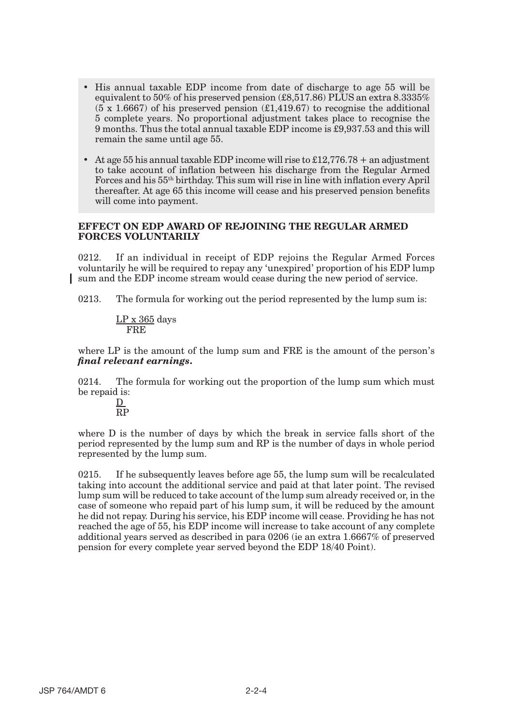- • His annual taxable EDP income from date of discharge to age 55 will be equivalent to 50% of his preserved pension (£8,517.86) PLUS an extra 8.3335%  $(5 \times 1.6667)$  of his preserved pension  $(£1,419.67)$  to recognise the additional 5 complete years. No proportional adjustment takes place to recognise the 9 months. Thus the total annual taxable EDP income is £9,937.53 and this will remain the same until age 55.
- At age 55 his annual taxable EDP income will rise to  $\pounds$ 12,776.78 + an adjustment to take account of inflation between his discharge from the Regular Armed Forces and his 55th birthday. This sum will rise in line with inflation every April thereafter. At age 65 this income will cease and his preserved pension benefits will come into payment.

## **EFFECT ON EDP AWARD OF REJOINING THE REGULAR ARMED FORCES VOLUNTARILY**

0212. If an individual in receipt of EDP rejoins the Regular Armed Forces voluntarily he will be required to repay any 'unexpired' proportion of his EDP lump sum and the EDP income stream would cease during the new period of service.

0213. The formula for working out the period represented by the lump sum is:

LP x 365 days FRE

where LP is the amount of the lump sum and FRE is the amount of the person's *final relevant earnings***.** 

0214. The formula for working out the proportion of the lump sum which must be repaid is:

> $\underline{\mathbf{D}}$ RP

where D is the number of days by which the break in service falls short of the period represented by the lump sum and RP is the number of days in whole period represented by the lump sum.

0215. If he subsequently leaves before age 55, the lump sum will be recalculated taking into account the additional service and paid at that later point. The revised lump sum will be reduced to take account of the lump sum already received or, in the case of someone who repaid part of his lump sum, it will be reduced by the amount he did not repay. During his service, his EDP income will cease. Providing he has not reached the age of 55, his EDP income will increase to take account of any complete additional years served as described in para 0206 (ie an extra 1.6667% of preserved pension for every complete year served beyond the EDP 18/40 Point).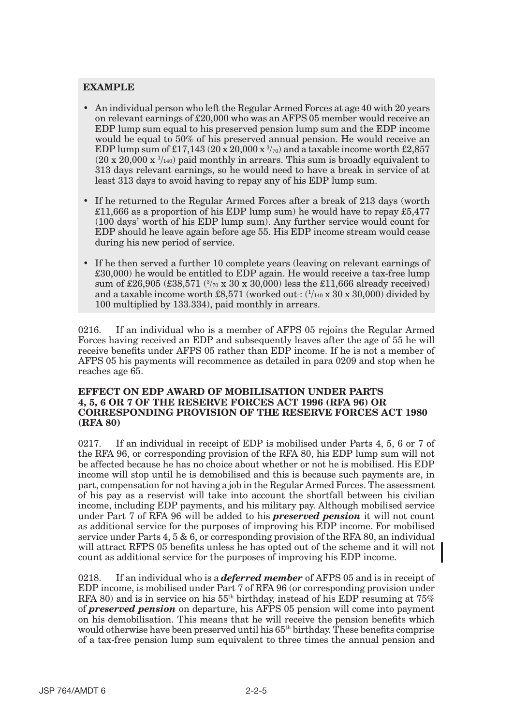## **EXAMPLE**

- An individual person who left the Regular Armed Forces at age 40 with 20 years on relevant earnings of £20,000 who was an AFPS 05 member would receive an EDP lump sum equal to his preserved pension lump sum and the EDP income would be equal to 50% of his preserved annual pension. He would receive an EDP lump sum of £17,143 (20 x 20,000 x  $\frac{3}{70}$ ) and a taxable income worth £2,857  $(20 \times 20,000 \times \frac{1}{140})$  paid monthly in arrears. This sum is broadly equivalent to 313 days relevant earnings, so he would need to have a break in service of at least 313 days to avoid having to repay any of his EDP lump sum.
- If he returned to the Regular Armed Forces after a break of 213 days (worth £11,666 as a proportion of his EDP lump sum) he would have to repay £5,477 (100 days' worth of his EDP lump sum). Any further service would count for EDP should he leave again before age 55. His EDP income stream would cease during his new period of service.
- • If he then served a further 10 complete years (leaving on relevant earnings of £30,000) he would be entitled to EDP again. He would receive a tax-free lump sum of £26,905 (£38,571  $(3/70 \times 30 \times 30,000)$  less the £11,666 already received) and a taxable income worth £8,571 (worked out :  $\frac{1}{140}$  x 30 x 30,000) divided by 100 multiplied by 133.334), paid monthly in arrears.

0216. If an individual who is a member of AFPS 05 rejoins the Regular Armed Forces having received an EDP and subsequently leaves after the age of 55 he will receive benefits under AFPS 05 rather than EDP income. If he is not a member of AFPS 05 his payments will recommence as detailed in para 0209 and stop when he reaches age 65.

#### **EFFECT ON EDP AWARD OF MOBILISATION UNDER PARTS 4, 5, 6 OR 7 OF THE RESERVE FORCES ACT 1996 (RFA 96) OR CORRESPONDING PROVISION OF THE RESERVE FORCES ACT 1980 (RFA 80)**

0217. If an individual in receipt of EDP is mobilised under Parts 4, 5, 6 or 7 of the RFA 96, or corresponding provision of the RFA 80, his EDP lump sum will not be affected because he has no choice about whether or not he is mobilised. His EDP income will stop until he is demobilised and this is because such payments are, in part, compensation for not having a job in the Regular Armed Forces. The assessment of his pay as a reservist will take into account the shortfall between his civilian income, including EDP payments, and his military pay. Although mobilised service under Part 7 of RFA 96 will be added to his *preserved pension* it will not count as additional service for the purposes of improving his EDP income. For mobilised service under Parts 4, 5 & 6, or corresponding provision of the RFA 80, an individual will attract RFPS 05 benefits unless he has opted out of the scheme and it will not count as additional service for the purposes of improving his EDP income.

0218. If an individual who is a *deferred member* of AFPS 05 and is in receipt of EDP income, is mobilised under Part 7 of RFA 96 (or corresponding provision under RFA 80) and is in service on his  $55<sup>th</sup>$  birthday, instead of his EDP resuming at  $75\%$ of *preserved pension* on departure, his AFPS 05 pension will come into payment on his demobilisation. This means that he will receive the pension benefits which would otherwise have been preserved until his 65<sup>th</sup> birthday. These benefits comprise of a tax-free pension lump sum equivalent to three times the annual pension and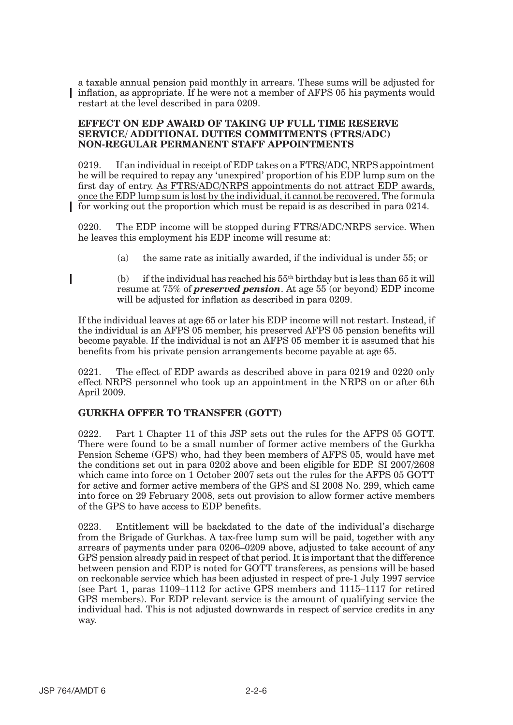a taxable annual pension paid monthly in arrears. These sums will be adjusted for inflation, as appropriate. If he were not a member of AFPS 05 his payments would restart at the level described in para 0209.

### **EFFECT ON EDP AWARD OF TAKING UP FULL TIME RESERVE SERVICE/ ADDITIONAL DUTIES COMMITMENTS (FTRS/ADC) NON-REGULAR PERMANENT STAFF APPOINTMENTS**

0219. If an individual in receipt of EDP takes on a FTRS/ADC, NRPS appointment he will be required to repay any 'unexpired' proportion of his EDP lump sum on the first day of entry. As FTRS/ADC/NRPS appointments do not attract EDP awards, once the EDP lump sum is lost by the individual, it cannot be recovered. The formula for working out the proportion which must be repaid is as described in para 0214.

0220. The EDP income will be stopped during FTRS/ADC/NRPS service. When he leaves this employment his EDP income will resume at:

- (a) the same rate as initially awarded, if the individual is under 55; or
- (b) if the individual has reached his  $55<sup>th</sup>$  birthday but is less than 65 it will resume at 75% of *preserved pension*. At age 55 (or beyond) EDP income will be adjusted for inflation as described in para 0209.

If the individual leaves at age 65 or later his EDP income will not restart. Instead, if the individual is an AFPS 05 member, his preserved AFPS 05 pension benefits will become payable. If the individual is not an AFPS 05 member it is assumed that his benefits from his private pension arrangements become payable at age 65.

0221. The effect of EDP awards as described above in para 0219 and 0220 only effect NRPS personnel who took up an appointment in the NRPS on or after 6th April 2009.

## **GURKHA OFFER TO TRANSFER (GOTT)**

0222. Part 1 Chapter 11 of this JSP sets out the rules for the AFPS 05 GOTT. There were found to be a small number of former active members of the Gurkha Pension Scheme (GPS) who, had they been members of AFPS 05, would have met the conditions set out in para 0202 above and been eligible for EDP. SI 2007/2608 which came into force on 1 October 2007 sets out the rules for the AFPS 05 GOTT for active and former active members of the GPS and SI 2008 No. 299, which came into force on 29 February 2008, sets out provision to allow former active members of the GPS to have access to EDP benefits.

0223. Entitlement will be backdated to the date of the individual's discharge from the Brigade of Gurkhas. A tax-free lump sum will be paid, together with any arrears of payments under para 0206–0209 above, adjusted to take account of any GPS pension already paid in respect of that period. It is important that the difference between pension and EDP is noted for GOTT transferees, as pensions will be based on reckonable service which has been adjusted in respect of pre-1 July 1997 service (see Part 1, paras 1109–1112 for active GPS members and 1115–1117 for retired GPS members). For EDP relevant service is the amount of qualifying service the individual had. This is not adjusted downwards in respect of service credits in any way.

I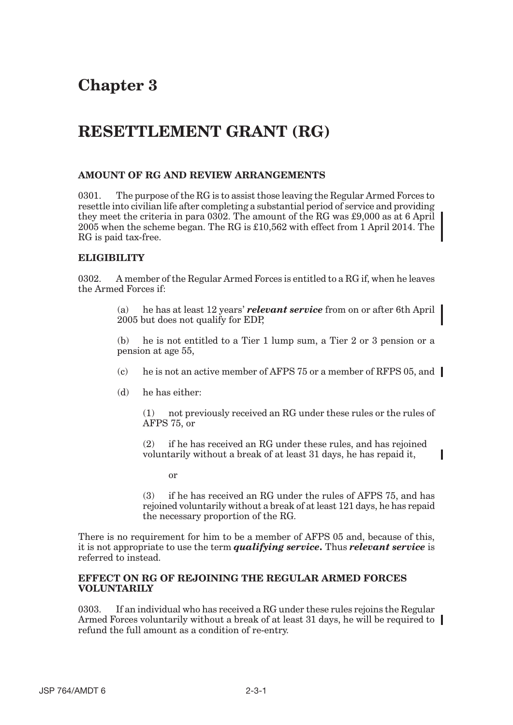# **RESETTLEMENT GRANT (RG)**

## **AMOUNT OF RG AND REVIEW ARRANGEMENTS**

0301. The purpose of the RG is to assist those leaving the Regular Armed Forces to resettle into civilian life after completing a substantial period of service and providing they meet the criteria in para 0302. The amount of the RG was £9,000 as at 6 April 2005 when the scheme began. The RG is £10,562 with effect from 1 April 2014. The RG is paid tax-free.

## **ELIGIBILITY**

0302. A member of the Regular Armed Forces is entitled to a RG if, when he leaves the Armed Forces if:

> (a) he has at least 12 years' *relevant service* from on or after 6th April 2005 but does not qualify for EDP,

> (b) he is not entitled to a Tier 1 lump sum, a Tier 2 or 3 pension or a pension at age 55,

- (c) he is not an active member of AFPS 75 or a member of RFPS 05, and
- (d) he has either:

(1) not previously received an RG under these rules or the rules of AFPS 75, or

if he has received an RG under these rules, and has rejoined voluntarily without a break of at least 31 days, he has repaid it,

ı

or

(3) if he has received an RG under the rules of AFPS 75, and has rejoined voluntarily without a break of at least 121 days, he has repaid the necessary proportion of the RG.

There is no requirement for him to be a member of AFPS 05 and, because of this, it is not appropriate to use the term *qualifying service***.** Thus *relevant service* is referred to instead.

#### **EFFECT ON RG OF REJOINING THE REGULAR ARMED FORCES VOLUNTARILY**

0303. If an individual who has received a RG under these rules rejoins the Regular Armed Forces voluntarily without a break of at least 31 days, he will be required to  $\parallel$ refund the full amount as a condition of re-entry.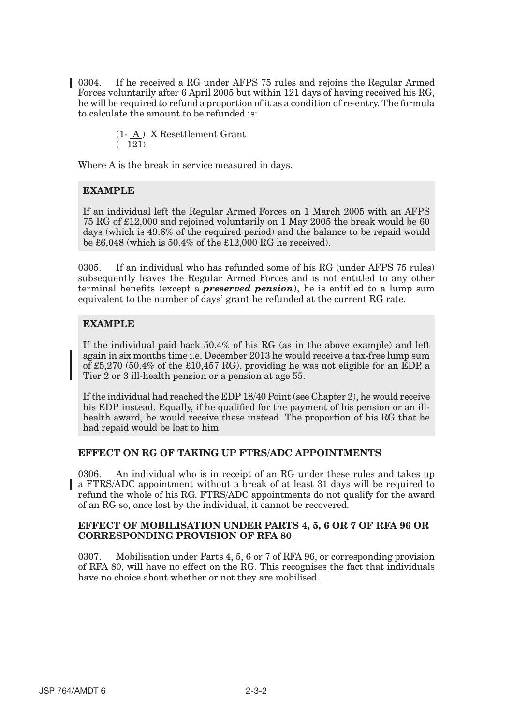0304. If he received a RG under AFPS 75 rules and rejoins the Regular Armed Forces voluntarily after 6 April 2005 but within 121 days of having received his RG, he will be required to refund a proportion of it as a condition of re-entry. The formula to calculate the amount to be refunded is:

> $(1- A)$  X Resettlement Grant ( 121)

Where A is the break in service measured in days.

## **EXAMPLE**

If an individual left the Regular Armed Forces on 1 March 2005 with an AFPS 75 RG of £12,000 and rejoined voluntarily on 1 May 2005 the break would be 60 days (which is 49.6% of the required period) and the balance to be repaid would be  $\pounds 6.048$  (which is  $50.4\%$  of the  $\pounds 12.000$  RG he received).

0305. If an individual who has refunded some of his RG (under AFPS 75 rules) subsequently leaves the Regular Armed Forces and is not entitled to any other terminal benefits (except a *preserved pension*), he is entitled to a lump sum equivalent to the number of days' grant he refunded at the current RG rate.

## **EXAMPLE**

If the individual paid back 50.4% of his RG (as in the above example) and left again in six months time i.e. December 2013 he would receive a tax-free lump sum of £5,270 (50.4% of the £10,457 RG), providing he was not eligible for an EDP, a Tier 2 or 3 ill-health pension or a pension at age 55.

If the individual had reached the EDP 18/40 Point (see Chapter 2), he would receive his EDP instead. Equally, if he qualified for the payment of his pension or an illhealth award, he would receive these instead. The proportion of his RG that he had repaid would be lost to him.

#### **EFFECT ON RG OF TAKING UP FTRS/ADC APPOINTMENTS**

0306. An individual who is in receipt of an RG under these rules and takes up a FTRS/ADC appointment without a break of at least 31 days will be required to refund the whole of his RG. FTRS/ADC appointments do not qualify for the award of an RG so, once lost by the individual, it cannot be recovered.

#### **EFFECT OF MOBILISATION UNDER PARTS 4, 5, 6 OR 7 OF RFA 96 OR CORRESPONDING PROVISION OF RFA 80**

0307. Mobilisation under Parts 4, 5, 6 or 7 of RFA 96, or corresponding provision of RFA 80, will have no effect on the RG. This recognises the fact that individuals have no choice about whether or not they are mobilised.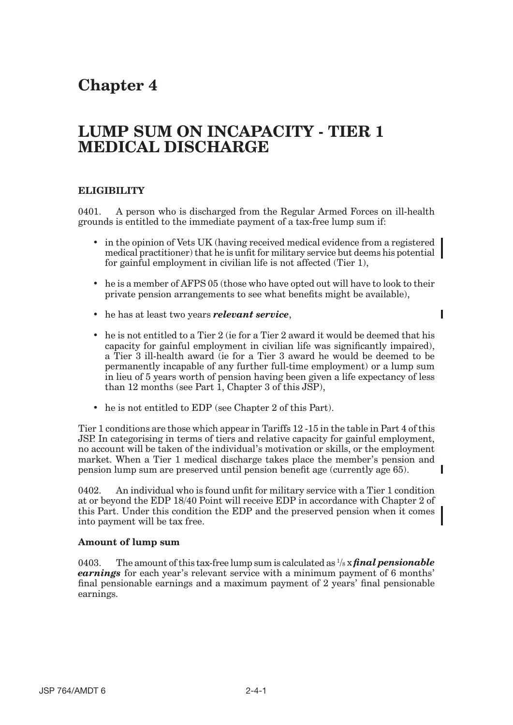## **LUMP SUM ON INCAPACITY - TIER 1 MEDICAL DISCHARGE**

## **ELIGIBILITY**

0401. A person who is discharged from the Regular Armed Forces on ill-health grounds is entitled to the immediate payment of a tax-free lump sum if:

- in the opinion of Vets UK (having received medical evidence from a registered medical practitioner) that he is unfit for military service but deems his potential for gainful employment in civilian life is not affected (Tier 1),
- he is a member of AFPS 05 (those who have opted out will have to look to their private pension arrangements to see what benefits might be available),

ı

- • he has at least two years *relevant service*,
- he is not entitled to a Tier 2 (ie for a Tier 2 award it would be deemed that his capacity for gainful employment in civilian life was significantly impaired), a Tier 3 ill-health award (ie for a Tier 3 award he would be deemed to be permanently incapable of any further full-time employment) or a lump sum in lieu of 5 years worth of pension having been given a life expectancy of less than 12 months (see Part 1, Chapter 3 of this JSP),
- he is not entitled to EDP (see Chapter 2 of this Part).

Tier 1 conditions are those which appear in Tariffs 12 -15 in the table in Part 4 of this JSP. In categorising in terms of tiers and relative capacity for gainful employment, no account will be taken of the individual's motivation or skills, or the employment market. When a Tier 1 medical discharge takes place the member's pension and pension lump sum are preserved until pension benefit age (currently age 65).

0402. An individual who is found unfit for military service with a Tier 1 condition at or beyond the EDP 18/40 Point will receive EDP in accordance with Chapter 2 of this Part. Under this condition the EDP and the preserved pension when it comes into payment will be tax free.

#### **Amount of lump sum**

0403. The amount of this tax-free lump sum is calculated as  $\frac{1}{8}$  x *final pensionable earnings* for each year's relevant service with a minimum payment of 6 months' final pensionable earnings and a maximum payment of 2 years' final pensionable earnings.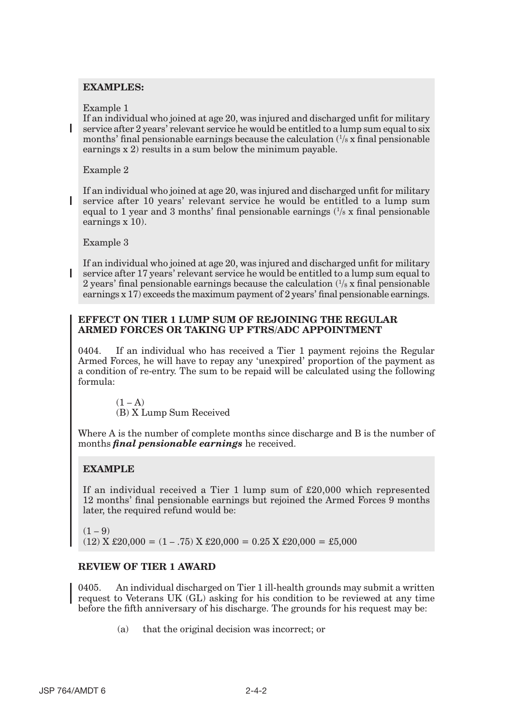## **EXAMPLES:**

Example 1

If an individual who joined at age 20, was injured and discharged unfit for military service after 2 years' relevant service he would be entitled to a lump sum equal to six months' final pensionable earnings because the calculation  $(1/s \times f)$  final pensionable earnings x 2) results in a sum below the minimum payable.

Example 2

If an individual who joined at age 20, was injured and discharged unfit for military service after 10 years' relevant service he would be entitled to a lump sum equal to 1 year and 3 months' final pensionable earnings  $(1/s \times f)$  final pensionable earnings x 10).

Example 3

If an individual who joined at age 20, was injured and discharged unfit for military service after 17 years' relevant service he would be entitled to a lump sum equal to 2 years' final pensionable earnings because the calculation  $\frac{1}{8}$  x final pensionable earnings x 17) exceeds the maximum payment of 2 years' final pensionable earnings.

## **EFFECT ON TIER 1 LUMP SUM OF REJOINING THE REGULAR ARMED FORCES OR TAKING UP FTRS/ADC APPOINTMENT**

0404. If an individual who has received a Tier 1 payment rejoins the Regular Armed Forces, he will have to repay any 'unexpired' proportion of the payment as a condition of re-entry. The sum to be repaid will be calculated using the following formula:

> $(1 - A)$ (B) X Lump Sum Received

Where A is the number of complete months since discharge and B is the number of months *final pensionable earnings* he received.

## **EXAMPLE**

If an individual received a Tier 1 lump sum of £20,000 which represented 12 months' final pensionable earnings but rejoined the Armed Forces 9 months later, the required refund would be:

 $(1 - 9)$  $(12)$  X £20,000 =  $(1 - .75)$  X £20,000 = 0.25 X £20,000 = £5,000

## **REVIEW OF TIER 1 AWARD**

0405. An individual discharged on Tier 1 ill-health grounds may submit a written request to Veterans UK (GL) asking for his condition to be reviewed at any time before the fifth anniversary of his discharge. The grounds for his request may be:

(a) that the original decision was incorrect; or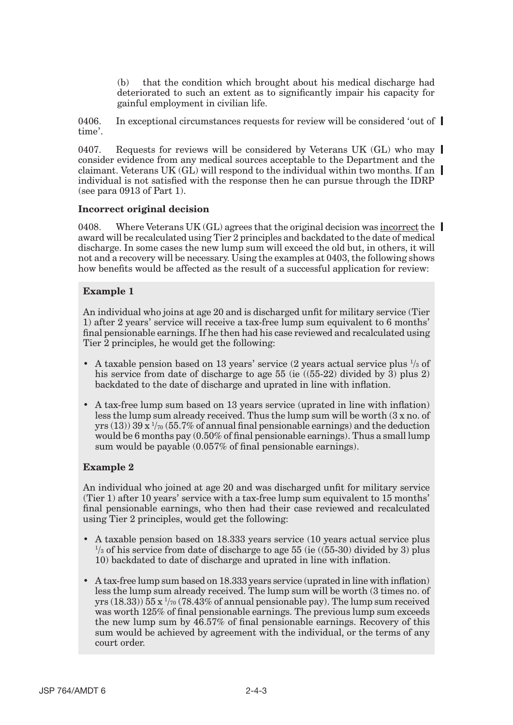(b) that the condition which brought about his medical discharge had deteriorated to such an extent as to significantly impair his capacity for gainful employment in civilian life.

0406. In exceptional circumstances requests for review will be considered 'out of  $\parallel$ time'.

0407. Requests for reviews will be considered by Veterans UK (GL) who may consider evidence from any medical sources acceptable to the Department and the claimant. Veterans UK (GL) will respond to the individual within two months. If an individual is not satisfied with the response then he can pursue through the IDRP (see para 0913 of Part 1).

## **Incorrect original decision**

0408. Where Veterans UK (GL) agrees that the original decision was incorrect the award will be recalculated using Tier 2 principles and backdated to the date of medical discharge. In some cases the new lump sum will exceed the old but, in others, it will not and a recovery will be necessary. Using the examples at 0403, the following shows how benefits would be affected as the result of a successful application for review:

## **Example 1**

An individual who joins at age 20 and is discharged unfit for military service (Tier 1) after 2 years' service will receive a tax-free lump sum equivalent to 6 months' final pensionable earnings. If he then had his case reviewed and recalculated using Tier 2 principles, he would get the following:

- A taxable pension based on 13 years' service  $(2 \text{ years}$  actual service plus  $\frac{1}{3}$  of his service from date of discharge to age 55 (ie ((55-22) divided by 3) plus 2) backdated to the date of discharge and uprated in line with inflation.
- • A tax-free lump sum based on 13 years service (uprated in line with inflation) less the lump sum already received. Thus the lump sum will be worth (3 x no. of yrs  $(13)$ ) 39 x  $\frac{1}{70}$  (55.7% of annual final pensionable earnings) and the deduction would be 6 months pay (0.50% of final pensionable earnings). Thus a small lump sum would be payable (0.057% of final pensionable earnings).

## **Example 2**

An individual who joined at age 20 and was discharged unfit for military service (Tier 1) after 10 years' service with a tax-free lump sum equivalent to 15 months' final pensionable earnings, who then had their case reviewed and recalculated using Tier 2 principles, would get the following:

- • A taxable pension based on 18.333 years service (10 years actual service plus  $\frac{1}{3}$  of his service from date of discharge to age 55 (ie ((55-30) divided by 3) plus 10) backdated to date of discharge and uprated in line with inflation.
- • A tax-free lump sum based on 18.333 years service (uprated in line with inflation) less the lump sum already received. The lump sum will be worth (3 times no. of yrs  $(18.33)$ )  $55$  x  $\frac{1}{70}$  (78.43% of annual pensionable pay). The lump sum received was worth 125% of final pensionable earnings. The previous lump sum exceeds the new lump sum by 46.57% of final pensionable earnings. Recovery of this sum would be achieved by agreement with the individual, or the terms of any court order.